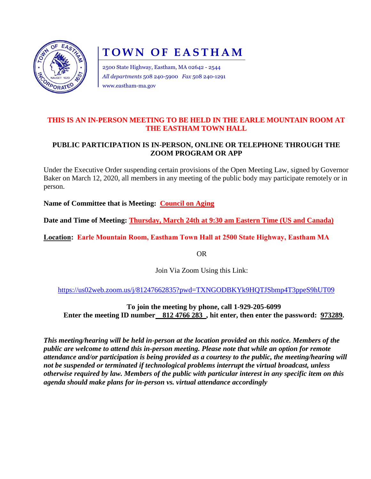

## **TOWN OF EASTHAM**

2500 State Highway, Eastham, MA 02642 - 2544 *All departments* 508 240-5900 *Fax* 508 240-1291 www.eastham-ma.gov

## **THIS IS AN IN-PERSON MEETING TO BE HELD IN THE EARLE MOUNTAIN ROOM AT THE EASTHAM TOWN HALL**

## **PUBLIC PARTICIPATION IS IN-PERSON, ONLINE OR TELEPHONE THROUGH THE ZOOM PROGRAM OR APP**

Under the Executive Order suspending certain provisions of the Open Meeting Law, signed by Governor Baker on March 12, 2020, all members in any meeting of the public body may participate remotely or in person.

**Name of Committee that is Meeting: Council on Aging**

**Date and Time of Meeting: Thursday, March 24th at 9:30 am Eastern Time (US and Canada)**

**Location: Earle Mountain Room, Eastham Town Hall at 2500 State Highway, Eastham MA**

OR

Join Via Zoom Using this Link:

<https://us02web.zoom.us/j/81247662835?pwd=TXNGODBKYk9HQTJSbmp4T3ppeS9hUT09>

**To join the meeting by phone, call 1-929-205-6099 Enter the meeting ID number** 812 4766 283, hit enter, then enter the password: 973289.

*This meeting/hearing will be held in-person at the location provided on this notice. Members of the public are welcome to attend this in-person meeting. Please note that while an option for remote attendance and/or participation is being provided as a courtesy to the public, the meeting/hearing will not be suspended or terminated if technological problems interrupt the virtual broadcast, unless otherwise required by law. Members of the public with particular interest in any specific item on this agenda should make plans for in-person vs. virtual attendance accordingly*